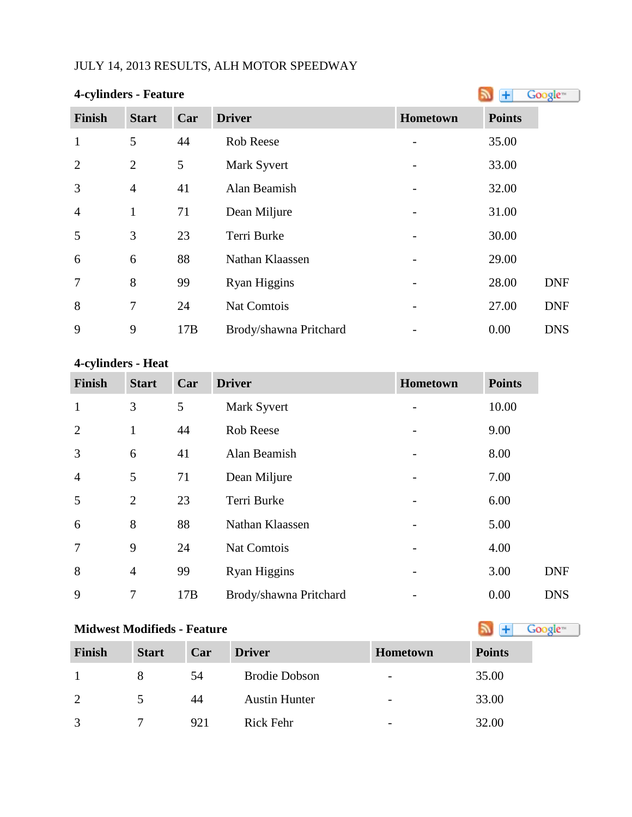## JULY 14, 2013 RESULTS, ALH MOTOR SPEEDWAY

| <b>4-cylinders - Feature</b> |                |     |                        |          |               | Google <sup>®</sup> |
|------------------------------|----------------|-----|------------------------|----------|---------------|---------------------|
| <b>Finish</b>                | <b>Start</b>   | Car | <b>Driver</b>          | Hometown | <b>Points</b> |                     |
| $\mathbf{1}$                 | 5              | 44  | <b>Rob Reese</b>       |          | 35.00         |                     |
| $\overline{2}$               | $\overline{2}$ | 5   | Mark Syvert            |          | 33.00         |                     |
| 3                            | $\overline{4}$ | 41  | Alan Beamish           |          | 32.00         |                     |
| $\overline{4}$               | 1              | 71  | Dean Miljure           |          | 31.00         |                     |
| 5                            | 3              | 23  | Terri Burke            |          | 30.00         |                     |
| 6                            | 6              | 88  | Nathan Klaassen        |          | 29.00         |                     |
| $\overline{7}$               | 8              | 99  | <b>Ryan Higgins</b>    |          | 28.00         | <b>DNF</b>          |
| 8                            | $\overline{7}$ | 24  | Nat Comtois            |          | 27.00         | <b>DNF</b>          |
| 9                            | 9              | 17B | Brody/shawna Pritchard |          | 0.00          | <b>DNS</b>          |

# **4-cylinders - Heat**

| <b>Finish</b>  | <b>Start</b>   | Car | <b>Driver</b>          | Hometown                 | <b>Points</b> |            |
|----------------|----------------|-----|------------------------|--------------------------|---------------|------------|
| $\mathbf{1}$   | 3              | 5   | Mark Syvert            |                          | 10.00         |            |
| $\overline{2}$ | $\mathbf{1}$   | 44  | Rob Reese              |                          | 9.00          |            |
| 3              | 6              | 41  | Alan Beamish           | $\overline{\phantom{a}}$ | 8.00          |            |
| $\overline{4}$ | 5              | 71  | Dean Miljure           |                          | 7.00          |            |
| 5              | $\overline{2}$ | 23  | Terri Burke            |                          | 6.00          |            |
| 6              | 8              | 88  | Nathan Klaassen        |                          | 5.00          |            |
| $\overline{7}$ | 9              | 24  | Nat Comtois            |                          | 4.00          |            |
| 8              | $\overline{4}$ | 99  | Ryan Higgins           | -                        | 3.00          | <b>DNF</b> |
| 9              | 7              | 17B | Brody/shawna Pritchard |                          | 0.00          | <b>DNS</b> |

### **Midwest Modifieds - Feature**

| Finish | <b>Start</b> | Car | <b>Driver</b>        | <b>Hometown</b>          | <b>Points</b> |
|--------|--------------|-----|----------------------|--------------------------|---------------|
|        |              | 54  | <b>Brodie Dobson</b> | $\overline{\phantom{0}}$ | 35.00         |
| 2      |              | 44  | <b>Austin Hunter</b> | $\overline{\phantom{0}}$ | 33.00         |
| 3      |              | 921 | Rick Fehr            | $\overline{\phantom{a}}$ | 32.00         |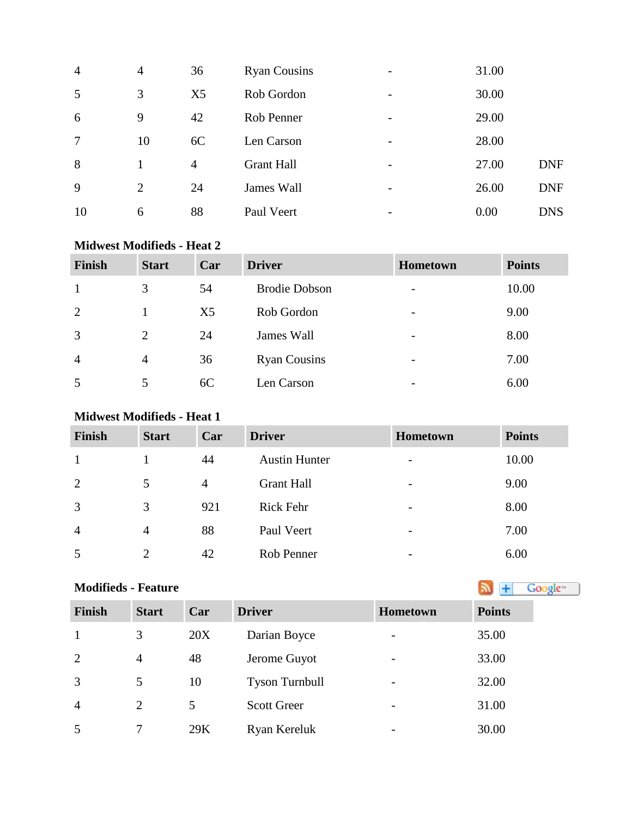| $\overline{4}$ | 4              | 36             | <b>Ryan Cousins</b> |                 | 31.00 |            |
|----------------|----------------|----------------|---------------------|-----------------|-------|------------|
| 5              | 3              | X <sub>5</sub> | Rob Gordon          | -               | 30.00 |            |
| 6              | 9              | 42             | Rob Penner          |                 | 29.00 |            |
| 7              | 10             | 6C             | Len Carson          | $\qquad \qquad$ | 28.00 |            |
| 8              |                | $\overline{4}$ | <b>Grant Hall</b>   |                 | 27.00 | <b>DNF</b> |
| 9              | $\overline{2}$ | 24             | James Wall          |                 | 26.00 | <b>DNF</b> |
| 10             | 6              | 88             | Paul Veert          |                 | 0.00  | <b>DNS</b> |

#### **Midwest Modifieds - Heat 2**

| <b>Finish</b>  | <b>Start</b>   | Car            | <b>Driver</b>        | Hometown                 | <b>Points</b> |
|----------------|----------------|----------------|----------------------|--------------------------|---------------|
|                | 3              | 54             | <b>Brodie Dobson</b> | $\overline{\phantom{a}}$ | 10.00         |
| 2              |                | X <sub>5</sub> | Rob Gordon           | $\overline{\phantom{a}}$ | 9.00          |
| 3              | 2              | 24             | James Wall           | $\overline{\phantom{a}}$ | 8.00          |
| $\overline{4}$ | $\overline{4}$ | 36             | <b>Ryan Cousins</b>  | $\overline{\phantom{a}}$ | 7.00          |
| 5              | 5              | 6C             | Len Carson           | $\overline{\phantom{0}}$ | 6.00          |

### **Midwest Modifieds - Heat 1**

| <b>Finish</b>  | <b>Start</b>   | Car            | <b>Driver</b>        | Hometown                 | <b>Points</b> |
|----------------|----------------|----------------|----------------------|--------------------------|---------------|
|                |                | 44             | <b>Austin Hunter</b> | $\overline{\phantom{a}}$ | 10.00         |
| 2              | 5              | $\overline{4}$ | <b>Grant Hall</b>    | $\overline{\phantom{a}}$ | 9.00          |
| 3              | 3              | 921            | <b>Rick Fehr</b>     | $\overline{\phantom{a}}$ | 8.00          |
| $\overline{4}$ | $\overline{4}$ | 88             | Paul Veert           | $\overline{\phantom{a}}$ | 7.00          |
| 5              | $\overline{2}$ | 42             | Rob Penner           | $\overline{\phantom{0}}$ | 6.00          |

| <b>Modifieds - Feature</b> | Google <sup>16</sup> |     |                       |          |               |
|----------------------------|----------------------|-----|-----------------------|----------|---------------|
| <b>Finish</b>              | <b>Start</b>         | Car | <b>Driver</b>         | Hometown | <b>Points</b> |
| 1                          | 3                    | 20X | Darian Boyce          |          | 35.00         |
| 2                          | 4                    | 48  | Jerome Guyot          |          | 33.00         |
| 3                          | 5                    | 10  | <b>Tyson Turnbull</b> |          | 32.00         |
| $\overline{4}$             | $\overline{2}$       | 5   | <b>Scott Greer</b>    |          | 31.00         |
| 5                          | 7                    | 29K | Ryan Kereluk          |          | 30.00         |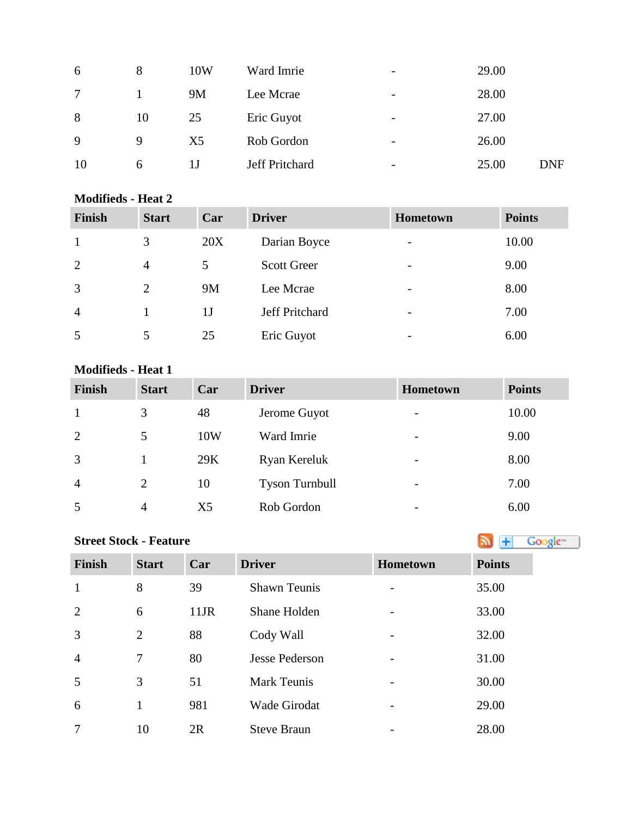| 6      | 8  | 10W            | Ward Imrie     | $\qquad \qquad \blacksquare$ | 29.00 |     |
|--------|----|----------------|----------------|------------------------------|-------|-----|
| $\tau$ |    | <b>9M</b>      | Lee Mcrae      | $\qquad \qquad \blacksquare$ | 28.00 |     |
| 8      | 10 | 25             | Eric Guyot     | $\overline{\phantom{a}}$     | 27.00 |     |
| 9      | 9  | X <sub>5</sub> | Rob Gordon     | $\overline{\phantom{a}}$     | 26.00 |     |
| 10     | 6  | 1 J            | Jeff Pritchard | -                            | 25.00 | DNF |

#### **Modifieds - Heat 2**

| <b>Finish</b>  | <b>Start</b>   | Car            | <b>Driver</b>      | <b>Hometown</b>          | <b>Points</b> |
|----------------|----------------|----------------|--------------------|--------------------------|---------------|
|                | 3              | 20X            | Darian Boyce       | $\overline{\phantom{0}}$ | 10.00         |
| 2              | $\overline{4}$ | 5              | <b>Scott Greer</b> | $\overline{\phantom{a}}$ | 9.00          |
| 3              | 2              | 9M             | Lee Mcrae          | $\overline{\phantom{0}}$ | 8.00          |
| $\overline{4}$ |                | 1 <sub>J</sub> | Jeff Pritchard     | $\overline{\phantom{a}}$ | 7.00          |
| 5              |                | 25             | Eric Guyot         | $\overline{\phantom{0}}$ | 6.00          |

#### **Modifieds - Heat 1**

| <b>Finish</b>  | <b>Start</b>   | Car            | <b>Driver</b>         | <b>Hometown</b>          | <b>Points</b> |
|----------------|----------------|----------------|-----------------------|--------------------------|---------------|
|                | 3              | 48             | Jerome Guyot          | $\overline{\phantom{a}}$ | 10.00         |
| 2              | 5              | 10W            | Ward Imrie            | $\overline{\phantom{a}}$ | 9.00          |
| 3              |                | 29K            | Ryan Kereluk          | $\overline{\phantom{a}}$ | 8.00          |
| $\overline{4}$ | $\overline{2}$ | 10             | <b>Tyson Turnbull</b> | $\overline{\phantom{a}}$ | 7.00          |
| 5              | $\overline{4}$ | X <sub>5</sub> | Rob Gordon            | $\overline{\phantom{0}}$ | 6.00          |

## **StreetStock - Feature Street Stock - Feature**

| <b>Finish</b>  | <b>Start</b> | Car     | <b>Driver</b>         | <b>Hometown</b>          | <b>Points</b> |
|----------------|--------------|---------|-----------------------|--------------------------|---------------|
| $\mathbf{1}$   | 8            | 39      | <b>Shawn Teunis</b>   |                          | 35.00         |
| 2              | 6            | $11$ JR | Shane Holden          |                          | 33.00         |
| $\overline{3}$ | 2            | 88      | Cody Wall             |                          | 32.00         |
| $\overline{4}$ | $\tau$       | 80      | <b>Jesse Pederson</b> |                          | 31.00         |
| 5              | 3            | 51      | <b>Mark Teunis</b>    | $\overline{\phantom{0}}$ | 30.00         |
| 6              |              | 981     | <b>Wade Girodat</b>   |                          | 29.00         |
| 7              | 10           | 2R      | <b>Steve Braun</b>    |                          | 28.00         |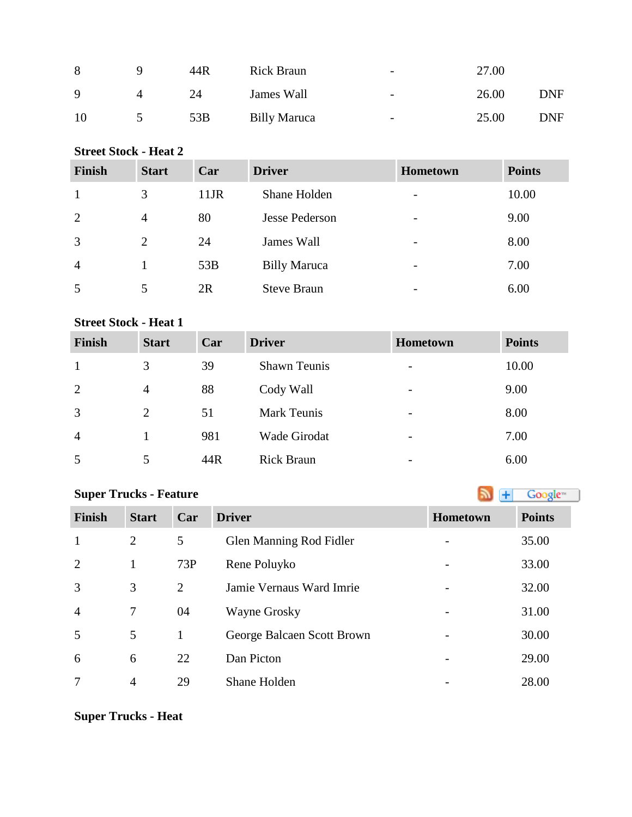| 8           | 44R | <b>Rick Braun</b>   | $\overline{\phantom{0}}$ | 27.00 |     |
|-------------|-----|---------------------|--------------------------|-------|-----|
| $\mathbf Q$ | 24  | James Wall          | $\overline{\phantom{0}}$ | 26.00 | DNF |
| 10          | 53B | <b>Billy Maruca</b> | $\overline{\phantom{0}}$ | 25.00 | DNF |

### **Street Stock - Heat 2**

| <b>Finish</b>  | <b>Start</b>   | Car     | <b>Driver</b>       | <b>Hometown</b>          | <b>Points</b> |
|----------------|----------------|---------|---------------------|--------------------------|---------------|
| 1              | 3              | $11$ JR | Shane Holden        | $\overline{\phantom{a}}$ | 10.00         |
| 2              | $\overline{4}$ | 80      | Jesse Pederson      | $\overline{\phantom{a}}$ | 9.00          |
| 3              | 2              | 24      | James Wall          | $\overline{\phantom{a}}$ | 8.00          |
| $\overline{4}$ |                | 53B     | <b>Billy Maruca</b> | $\overline{\phantom{a}}$ | 7.00          |
| 5              | 5              | 2R      | <b>Steve Braun</b>  | $\overline{\phantom{0}}$ | 6.00          |

## **Street Stock - Heat 1**

| Finish         | <b>Start</b>   | Car | <b>Driver</b>       | Hometown                 | <b>Points</b> |
|----------------|----------------|-----|---------------------|--------------------------|---------------|
| 1              | 3              | 39  | <b>Shawn Teunis</b> | $\overline{\phantom{a}}$ | 10.00         |
| 2              | $\overline{4}$ | 88  | Cody Wall           | $\overline{\phantom{0}}$ | 9.00          |
| 3              | 2              | 51  | <b>Mark Teunis</b>  | $\overline{\phantom{a}}$ | 8.00          |
| $\overline{4}$ |                | 981 | Wade Girodat        | $\overline{\phantom{a}}$ | 7.00          |
| 5              |                | 44R | <b>Rick Braun</b>   |                          | 6.00          |

## **SuperTrucks - Feature Super Trucks - Feature**

| <b>Finish</b>  | <b>Start</b>   | Car | <b>Driver</b>              | Hometown | <b>Points</b> |
|----------------|----------------|-----|----------------------------|----------|---------------|
| $\mathbf{1}$   | 2              | 5   | Glen Manning Rod Fidler    |          | 35.00         |
| 2              | 1              | 73P | Rene Poluyko               |          | 33.00         |
| 3              | 3              | 2   | Jamie Vernaus Ward Imrie   |          | 32.00         |
| $\overline{4}$ | 7              | 04  | <b>Wayne Grosky</b>        |          | 31.00         |
| 5              | 5              | 1   | George Balcaen Scott Brown |          | 30.00         |
| 6              | 6              | 22  | Dan Picton                 |          | 29.00         |
| 7              | $\overline{4}$ | 29  | Shane Holden               |          | 28.00         |

**Super Trucks - Heat**